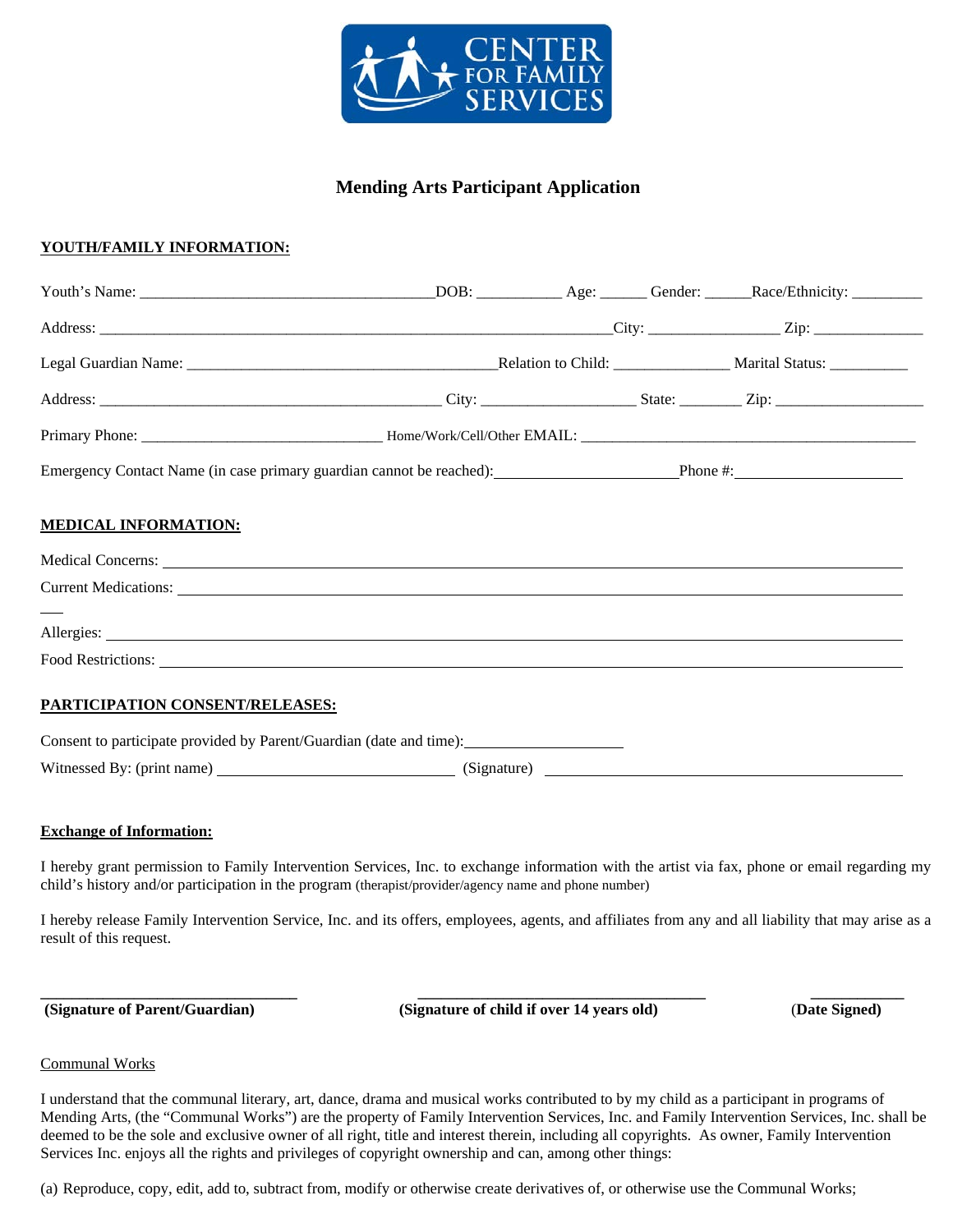

# **Mending Arts Participant Application**

# **YOUTH/FAMILY INFORMATION:**

| Emergency Contact Name (in case primary guardian cannot be reached): Phone #: Phone #:               |  |  |
|------------------------------------------------------------------------------------------------------|--|--|
| <b>MEDICAL INFORMATION:</b><br>Current Medications:                                                  |  |  |
|                                                                                                      |  |  |
|                                                                                                      |  |  |
| PARTICIPATION CONSENT/RELEASES:                                                                      |  |  |
| Consent to participate provided by Parent/Guardian (date and time): ________________________________ |  |  |
|                                                                                                      |  |  |

#### **Exchange of Information:**

I hereby grant permission to Family Intervention Services, Inc. to exchange information with the artist via fax, phone or email regarding my child's history and/or participation in the program (therapist/provider/agency name and phone number)

I hereby release Family Intervention Service, Inc. and its offers, employees, agents, and affiliates from any and all liability that may arise as a result of this request.

**\_\_\_\_\_\_\_\_\_\_\_\_\_\_\_\_\_\_\_\_\_\_\_\_\_\_\_\_\_\_\_\_\_ \_\_\_\_\_\_\_\_\_\_\_\_\_\_\_\_\_\_\_\_\_\_\_\_\_\_\_\_\_\_\_\_\_\_\_\_\_ \_\_\_\_\_\_\_\_\_\_\_\_ (Signature of Parent/Guardian) (Signature of child if over 14 years old)** (**Date Signed)**

#### Communal Works

I understand that the communal literary, art, dance, drama and musical works contributed to by my child as a participant in programs of Mending Arts, (the "Communal Works") are the property of Family Intervention Services, Inc. and Family Intervention Services, Inc. shall be deemed to be the sole and exclusive owner of all right, title and interest therein, including all copyrights. As owner, Family Intervention Services Inc. enjoys all the rights and privileges of copyright ownership and can, among other things:

(a) Reproduce, copy, edit, add to, subtract from, modify or otherwise create derivatives of, or otherwise use the Communal Works;